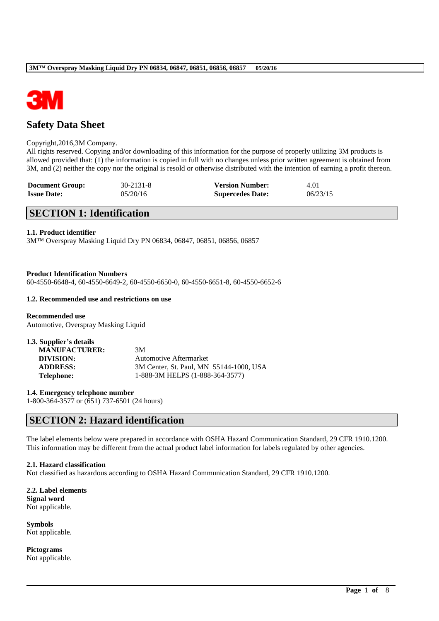

# **Safety Data Sheet**

### Copyright,2016,3M Company.

All rights reserved. Copying and/or downloading of this information for the purpose of properly utilizing 3M products is allowed provided that: (1) the information is copied in full with no changes unless prior written agreement is obtained from 3M, and (2) neither the copy nor the original is resold or otherwise distributed with the intention of earning a profit thereon.

| <b>Document Group:</b> | $30 - 2131 - 8$ | <b>Version Number:</b>  | 4.01     |
|------------------------|-----------------|-------------------------|----------|
| <b>Issue Date:</b>     | 05/20/16        | <b>Supercedes Date:</b> | 06/23/15 |

# **SECTION 1: Identification**

### **1.1. Product identifier**

3M™ Overspray Masking Liquid Dry PN 06834, 06847, 06851, 06856, 06857

**Product Identification Numbers** 60-4550-6648-4, 60-4550-6649-2, 60-4550-6650-0, 60-4550-6651-8, 60-4550-6652-6

### **1.2. Recommended use and restrictions on use**

**Recommended use** Automotive, Overspray Masking Liquid

| 1.3. Supplier's details |                                         |
|-------------------------|-----------------------------------------|
| <b>MANUFACTURER:</b>    | 3M                                      |
| DIVISION:               | Automotive Aftermarket                  |
| <b>ADDRESS:</b>         | 3M Center, St. Paul, MN 55144-1000, USA |
| Telephone:              | 1-888-3M HELPS (1-888-364-3577)         |

**1.4. Emergency telephone number** 1-800-364-3577 or (651) 737-6501 (24 hours)

# **SECTION 2: Hazard identification**

The label elements below were prepared in accordance with OSHA Hazard Communication Standard, 29 CFR 1910.1200. This information may be different from the actual product label information for labels regulated by other agencies.

\_\_\_\_\_\_\_\_\_\_\_\_\_\_\_\_\_\_\_\_\_\_\_\_\_\_\_\_\_\_\_\_\_\_\_\_\_\_\_\_\_\_\_\_\_\_\_\_\_\_\_\_\_\_\_\_\_\_\_\_\_\_\_\_\_\_\_\_\_\_\_\_\_\_\_\_\_\_\_\_\_\_\_\_\_\_\_\_\_\_

### **2.1. Hazard classification**

Not classified as hazardous according to OSHA Hazard Communication Standard, 29 CFR 1910.1200.

**2.2. Label elements Signal word** Not applicable.

**Symbols** Not applicable.

**Pictograms** Not applicable.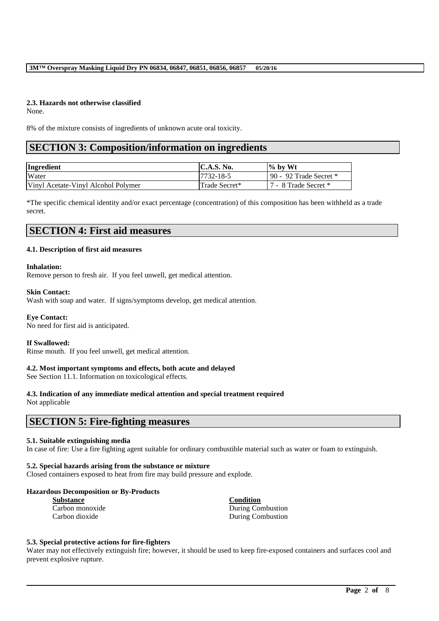## **2.3. Hazards not otherwise classified**

None.

8% of the mixture consists of ingredients of unknown acute oral toxicity.

# **SECTION 3: Composition/information on ingredients**

| Ingredient                          | <b>IC.A.S. No.</b> | $\%$ by Wt               |
|-------------------------------------|--------------------|--------------------------|
| Water                               | 7732-18-5          | 90 - 92 Trade Secret $*$ |
| Vinyl Acetate-Vinyl Alcohol Polymer | Trade Secret*      | 17 - 8 Trade Secret *    |

\*The specific chemical identity and/or exact percentage (concentration) of this composition has been withheld as a trade secret.

# **SECTION 4: First aid measures**

### **4.1. Description of first aid measures**

#### **Inhalation:**

Remove person to fresh air. If you feel unwell, get medical attention.

#### **Skin Contact:**

Wash with soap and water. If signs/symptoms develop, get medical attention.

#### **Eye Contact:**

No need for first aid is anticipated.

#### **If Swallowed:**

Rinse mouth. If you feel unwell, get medical attention.

#### **4.2. Most important symptoms and effects, both acute and delayed**

See Section 11.1. Information on toxicological effects.

# **4.3. Indication of any immediate medical attention and special treatment required**

Not applicable

# **SECTION 5: Fire-fighting measures**

#### **5.1. Suitable extinguishing media**

In case of fire: Use a fire fighting agent suitable for ordinary combustible material such as water or foam to extinguish.

#### **5.2. Special hazards arising from the substance or mixture**

Closed containers exposed to heat from fire may build pressure and explode.

#### **Hazardous Decomposition or By-Products**

| <b>Substance</b> | Condition                |
|------------------|--------------------------|
| Carbon monoxide  | <b>During Combustion</b> |
| Carbon dioxide   | <b>During Combustion</b> |

#### **5.3. Special protective actions for fire-fighters**

Water may not effectively extinguish fire; however, it should be used to keep fire-exposed containers and surfaces cool and prevent explosive rupture.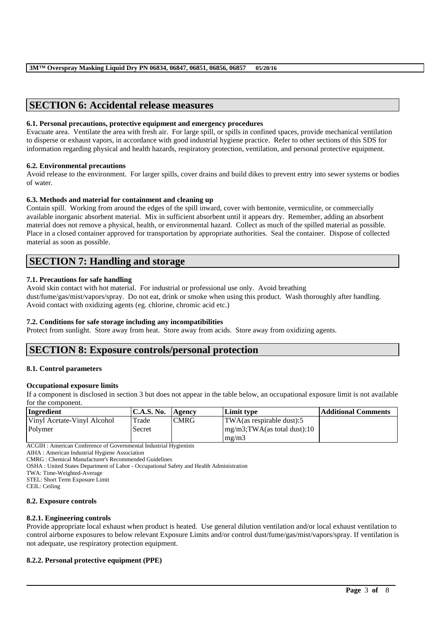# **SECTION 6: Accidental release measures**

### **6.1. Personal precautions, protective equipment and emergency procedures**

Evacuate area. Ventilate the area with fresh air. For large spill, or spills in confined spaces, provide mechanical ventilation to disperse or exhaust vapors, in accordance with good industrial hygiene practice. Refer to other sections of this SDS for information regarding physical and health hazards, respiratory protection, ventilation, and personal protective equipment.

## **6.2. Environmental precautions**

Avoid release to the environment. For larger spills, cover drains and build dikes to prevent entry into sewer systems or bodies of water.

## **6.3. Methods and material for containment and cleaning up**

Contain spill. Working from around the edges of the spill inward, cover with bentonite, vermiculite, or commercially available inorganic absorbent material. Mix in sufficient absorbent until it appears dry. Remember, adding an absorbent material does not remove a physical, health, or environmental hazard. Collect as much of the spilled material as possible. Place in a closed container approved for transportation by appropriate authorities. Seal the container. Dispose of collected material as soon as possible.

# **SECTION 7: Handling and storage**

## **7.1. Precautions for safe handling**

Avoid skin contact with hot material. For industrial or professional use only. Avoid breathing dust/fume/gas/mist/vapors/spray. Do not eat, drink or smoke when using this product. Wash thoroughly after handling. Avoid contact with oxidizing agents (eg. chlorine, chromic acid etc.)

## **7.2. Conditions for safe storage including any incompatibilities**

Protect from sunlight. Store away from heat. Store away from acids. Store away from oxidizing agents.

# **SECTION 8: Exposure controls/personal protection**

## **8.1. Control parameters**

#### **Occupational exposure limits**

If a component is disclosed in section 3 but does not appear in the table below, an occupational exposure limit is not available for the component.

| Ingredient                  | C.A.S. No. | <b>Agency</b> | Limit type                                | Additional Comments |
|-----------------------------|------------|---------------|-------------------------------------------|---------------------|
| Vinyl Acetate-Vinyl Alcohol | Trade      | <b>CMRG</b>   | $TWA$ (as respirable dust):5              |                     |
| Polymer                     | Secret     |               | $\frac{mg}{m^3}$ ; TWA(as total dust): 10 |                     |
|                             |            |               | $m\Omega/m3$                              |                     |

ACGIH : American Conference of Governmental Industrial Hygienists

AIHA : American Industrial Hygiene Association

CMRG : Chemical Manufacturer's Recommended Guidelines

OSHA : United States Department of Labor - Occupational Safety and Health Administration

TWA: Time-Weighted-Average

STEL: Short Term Exposure Limit

CEIL: Ceiling

#### **8.2. Exposure controls**

## **8.2.1. Engineering controls**

Provide appropriate local exhaust when product is heated. Use general dilution ventilation and/or local exhaust ventilation to control airborne exposures to below relevant Exposure Limits and/or control dust/fume/gas/mist/vapors/spray. If ventilation is not adequate, use respiratory protection equipment.

\_\_\_\_\_\_\_\_\_\_\_\_\_\_\_\_\_\_\_\_\_\_\_\_\_\_\_\_\_\_\_\_\_\_\_\_\_\_\_\_\_\_\_\_\_\_\_\_\_\_\_\_\_\_\_\_\_\_\_\_\_\_\_\_\_\_\_\_\_\_\_\_\_\_\_\_\_\_\_\_\_\_\_\_\_\_\_\_\_\_

## **8.2.2. Personal protective equipment (PPE)**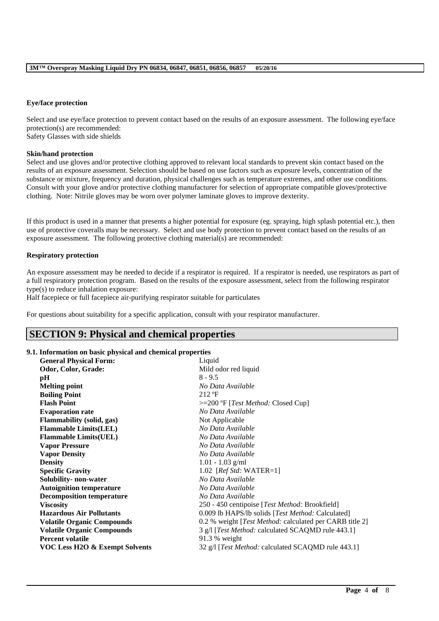## **Eye/face protection**

Select and use eye/face protection to prevent contact based on the results of an exposure assessment. The following eye/face protection(s) are recommended:

Safety Glasses with side shields

# **Skin/hand protection**

Select and use gloves and/or protective clothing approved to relevant local standards to prevent skin contact based on the results of an exposure assessment. Selection should be based on use factors such as exposure levels, concentration of the substance or mixture, frequency and duration, physical challenges such as temperature extremes, and other use conditions. Consult with your glove and/or protective clothing manufacturer for selection of appropriate compatible gloves/protective clothing. Note: Nitrile gloves may be worn over polymer laminate gloves to improve dexterity.

If this product is used in a manner that presents a higher potential for exposure (eg. spraying, high splash potential etc.), then use of protective coveralls may be necessary. Select and use body protection to prevent contact based on the results of an exposure assessment. The following protective clothing material(s) are recommended:

# **Respiratory protection**

An exposure assessment may be needed to decide if a respirator is required. If a respirator is needed, use respirators as part of a full respiratory protection program. Based on the results of the exposure assessment, select from the following respirator type(s) to reduce inhalation exposure:

Half facepiece or full facepiece air-purifying respirator suitable for particulates

For questions about suitability for a specific application, consult with your respirator manufacturer.

# **SECTION 9: Physical and chemical properties**

# **9.1. Information on basic physical and chemical properties**

| <b>General Physical Form:</b>     | Liquid                                                     |
|-----------------------------------|------------------------------------------------------------|
| Odor, Color, Grade:               | Mild odor red liquid                                       |
| pH                                | $8 - 9.5$                                                  |
| <b>Melting point</b>              | No Data Available                                          |
| <b>Boiling Point</b>              | $212 \text{ }^{\circ}F$                                    |
| <b>Flash Point</b>                | $>=200$ °F [ <i>Test Method:</i> Closed Cup]               |
| <b>Evaporation rate</b>           | No Data Available                                          |
| <b>Flammability (solid, gas)</b>  | Not Applicable                                             |
| <b>Flammable Limits(LEL)</b>      | No Data Available                                          |
| <b>Flammable Limits(UEL)</b>      | No Data Available                                          |
| <b>Vapor Pressure</b>             | No Data Available                                          |
| <b>Vapor Density</b>              | No Data Available                                          |
| <b>Density</b>                    | $1.01 - 1.03$ g/ml                                         |
| <b>Specific Gravity</b>           | 1.02 [ $RefStd: WATER=1$ ]                                 |
| Solubility- non-water             | No Data Available                                          |
| <b>Autoignition temperature</b>   | No Data Available                                          |
| <b>Decomposition temperature</b>  | No Data Available                                          |
| <b>Viscosity</b>                  | 250 - 450 centipoise [Test Method: Brookfield]             |
| <b>Hazardous Air Pollutants</b>   | 0.009 lb HAPS/lb solids [Test Method: Calculated]          |
| <b>Volatile Organic Compounds</b> | 0.2 % weight [Test Method: calculated per CARB title 2]    |
| <b>Volatile Organic Compounds</b> | 3 g/l [Test Method: calculated SCAQMD rule 443.1]          |
| <b>Percent volatile</b>           | $91.3 %$ weight                                            |
| VOC Less H2O & Exempt Solvents    | 32 g/l [ <i>Test Method:</i> calculated SCAQMD rule 443.1] |
|                                   |                                                            |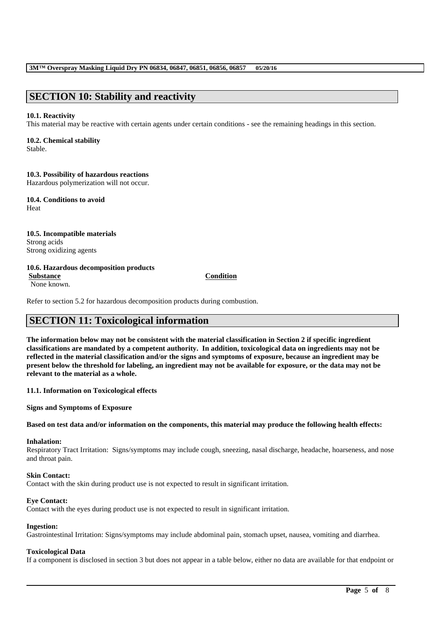# **SECTION 10: Stability and reactivity**

## **10.1. Reactivity**

This material may be reactive with certain agents under certain conditions - see the remaining headings in this section.

# **10.2. Chemical stability**

Stable.

**10.3. Possibility of hazardous reactions** Hazardous polymerization will not occur.

**10.4. Conditions to avoid** Heat

**10.5. Incompatible materials** Strong acids Strong oxidizing agents

# **10.6. Hazardous decomposition products**

**Substance Condition**

None known.

Refer to section 5.2 for hazardous decomposition products during combustion.

# **SECTION 11: Toxicological information**

**The information below may not be consistent with the material classification in Section 2 if specific ingredient classifications are mandated by a competent authority. In addition, toxicological data on ingredients may not be reflected in the material classification and/or the signs and symptoms of exposure, because an ingredient may be present below the threshold for labeling, an ingredient may not be available for exposure, or the data may not be relevant to the material as a whole.**

**11.1. Information on Toxicological effects**

**Signs and Symptoms of Exposure**

## **Based on test data and/or information on the components, this material may produce the following health effects:**

#### **Inhalation:**

Respiratory Tract Irritation: Signs/symptoms may include cough, sneezing, nasal discharge, headache, hoarseness, and nose and throat pain.

#### **Skin Contact:**

Contact with the skin during product use is not expected to result in significant irritation.

## **Eye Contact:**

Contact with the eyes during product use is not expected to result in significant irritation.

#### **Ingestion:**

Gastrointestinal Irritation: Signs/symptoms may include abdominal pain, stomach upset, nausea, vomiting and diarrhea.

## **Toxicological Data**

If a component is disclosed in section 3 but does not appear in a table below, either no data are available for that endpoint or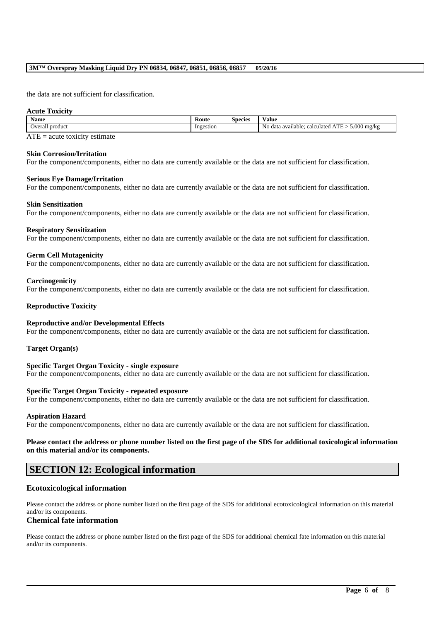### **3M™ Overspray Masking Liquid Dry PN 06834, 06847, 06851, 06856, 06857 05/20/16**

the data are not sufficient for classification.

#### **Acute Toxicity**

| Name               | Koute     | -<br><b>Species</b> | Value                                                                            |
|--------------------|-----------|---------------------|----------------------------------------------------------------------------------|
| Overall<br>product | Ingestion |                     | 5.000<br>$T^*$<br>No<br>∣ mg/kg<br>·data available د<br>calculated<br>- - -<br>- |

 $ATE = acute$  toxicity estimate

### **Skin Corrosion/Irritation**

For the component/components, either no data are currently available or the data are not sufficient for classification.

#### **Serious Eye Damage/Irritation**

For the component/components, either no data are currently available or the data are not sufficient for classification.

#### **Skin Sensitization**

For the component/components, either no data are currently available or the data are not sufficient for classification.

#### **Respiratory Sensitization**

For the component/components, either no data are currently available or the data are not sufficient for classification.

#### **Germ Cell Mutagenicity**

For the component/components, either no data are currently available or the data are not sufficient for classification.

#### **Carcinogenicity**

For the component/components, either no data are currently available or the data are not sufficient for classification.

#### **Reproductive Toxicity**

#### **Reproductive and/or Developmental Effects**

For the component/components, either no data are currently available or the data are not sufficient for classification.

#### **Target Organ(s)**

**Specific Target Organ Toxicity - single exposure** For the component/components, either no data are currently available or the data are not sufficient for classification.

#### **Specific Target Organ Toxicity - repeated exposure**

For the component/components, either no data are currently available or the data are not sufficient for classification.

#### **Aspiration Hazard**

For the component/components, either no data are currently available or the data are not sufficient for classification.

#### **Please contact the address or phone number listed on the first page of the SDS for additional toxicological information on this material and/or its components.**

# **SECTION 12: Ecological information**

#### **Ecotoxicological information**

Please contact the address or phone number listed on the first page of the SDS for additional ecotoxicological information on this material and/or its components.

### **Chemical fate information**

Please contact the address or phone number listed on the first page of the SDS for additional chemical fate information on this material and/or its components.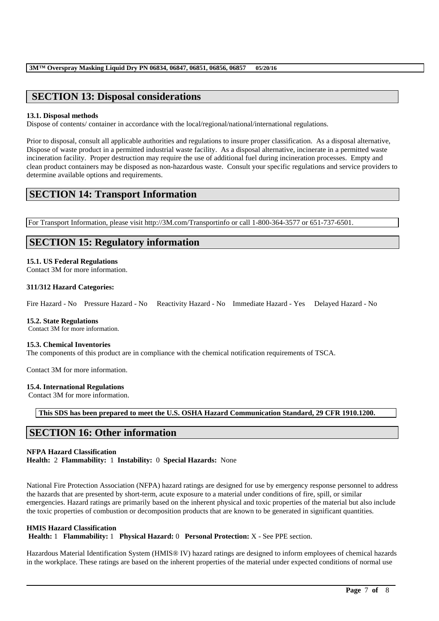# **SECTION 13: Disposal considerations**

# **13.1. Disposal methods**

Dispose of contents/ container in accordance with the local/regional/national/international regulations.

Prior to disposal, consult all applicable authorities and regulations to insure proper classification. As a disposal alternative, Dispose of waste product in a permitted industrial waste facility. As a disposal alternative, incinerate in a permitted waste incineration facility. Proper destruction may require the use of additional fuel during incineration processes. Empty and clean product containers may be disposed as non-hazardous waste. Consult your specific regulations and service providers to determine available options and requirements.

# **SECTION 14: Transport Information**

For Transport Information, please visit http://3M.com/Transportinfo or call 1-800-364-3577 or 651-737-6501.

# **SECTION 15: Regulatory information**

# **15.1. US Federal Regulations**

Contact 3M for more information.

## **311/312 Hazard Categories:**

Fire Hazard - No Pressure Hazard - No Reactivity Hazard - No Immediate Hazard - Yes Delayed Hazard - No

## **15.2. State Regulations**

Contact 3M for more information.

## **15.3. Chemical Inventories**

The components of this product are in compliance with the chemical notification requirements of TSCA.

Contact 3M for more information.

## **15.4. International Regulations**

Contact 3M for more information.

**This SDS has been prepared to meet the U.S. OSHA Hazard Communication Standard, 29 CFR 1910.1200.**

# **SECTION 16: Other information**

# **NFPA Hazard Classification**

**Health:** 2 **Flammability:** 1 **Instability:** 0 **Special Hazards:** None

National Fire Protection Association (NFPA) hazard ratings are designed for use by emergency response personnel to address the hazards that are presented by short-term, acute exposure to a material under conditions of fire, spill, or similar emergencies. Hazard ratings are primarily based on the inherent physical and toxic properties of the material but also include the toxic properties of combustion or decomposition products that are known to be generated in significant quantities.

## **HMIS Hazard Classification**

**Health:** 1 **Flammability:** 1 **Physical Hazard:** 0 **Personal Protection:** X - See PPE section.

Hazardous Material Identification System (HMIS® IV) hazard ratings are designed to inform employees of chemical hazards in the workplace. These ratings are based on the inherent properties of the material under expected conditions of normal use